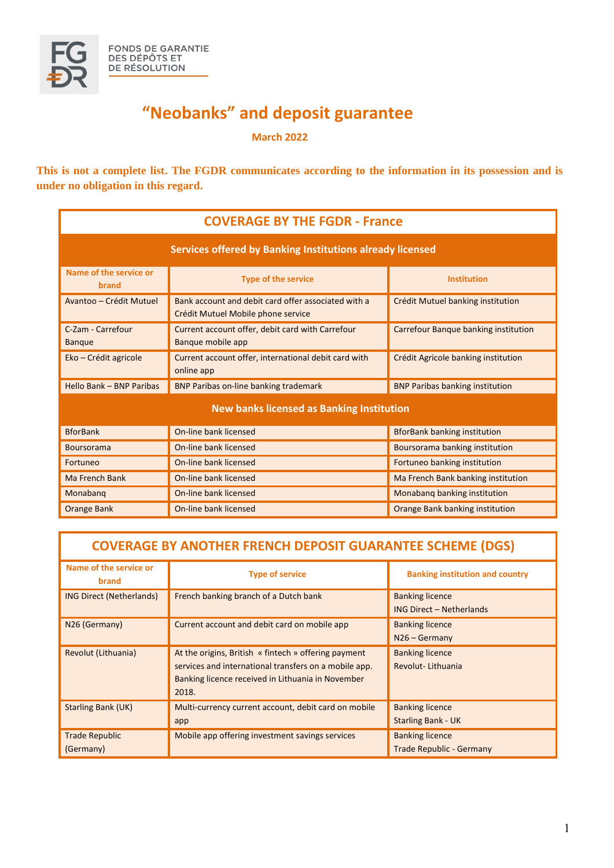

## **"Neobanks" and deposit guarantee**

**March 2022**

**This is not a complete list. The FGDR communicates according to the information in its possession and is under no obligation in this regard.**

| <b>COVERAGE BY THE FGDR - France</b>                      |                                                                                           |                                        |  |
|-----------------------------------------------------------|-------------------------------------------------------------------------------------------|----------------------------------------|--|
| Services offered by Banking Institutions already licensed |                                                                                           |                                        |  |
| Name of the service or<br>brand                           | <b>Type of the service</b>                                                                | <b>Institution</b>                     |  |
| Avantoo - Crédit Mutuel                                   | Bank account and debit card offer associated with a<br>Crédit Mutuel Mobile phone service | Crédit Mutuel banking institution      |  |
| C-Zam - Carrefour<br><b>Banque</b>                        | Current account offer, debit card with Carrefour<br>Banque mobile app                     | Carrefour Banque banking institution   |  |
| Eko - Crédit agricole                                     | Current account offer, international debit card with<br>online app                        | Crédit Agricole banking institution    |  |
| Hello Bank - BNP Paribas                                  | <b>BNP Paribas on-line banking trademark</b>                                              | <b>BNP Paribas banking institution</b> |  |
| <b>New banks licensed as Banking Institution</b>          |                                                                                           |                                        |  |
| <b>BforBank</b>                                           | On-line bank licensed                                                                     | <b>BforBank banking institution</b>    |  |
| <b>Boursorama</b>                                         | On-line bank licensed                                                                     | Boursorama banking institution         |  |
| Fortuneo                                                  | On-line bank licensed                                                                     | Fortuneo banking institution           |  |
| <b>Ma French Bank</b>                                     | On-line bank licensed                                                                     | Ma French Bank banking institution     |  |
| Monabang                                                  | On-line bank licensed                                                                     | Monabang banking institution           |  |
| <b>Orange Bank</b>                                        | On-line bank licensed                                                                     | Orange Bank banking institution        |  |

| <b>COVERAGE BY ANOTHER FRENCH DEPOSIT GUARANTEE SCHEME (DGS)</b> |                                                                                                                                                                             |                                                           |  |
|------------------------------------------------------------------|-----------------------------------------------------------------------------------------------------------------------------------------------------------------------------|-----------------------------------------------------------|--|
| Name of the service or<br>brand                                  | <b>Type of service</b>                                                                                                                                                      | <b>Banking institution and country</b>                    |  |
| <b>ING Direct (Netherlands)</b>                                  | French banking branch of a Dutch bank                                                                                                                                       | <b>Banking licence</b><br><b>ING Direct - Netherlands</b> |  |
| N26 (Germany)                                                    | Current account and debit card on mobile app                                                                                                                                | <b>Banking licence</b><br>$N26 - Germany$                 |  |
| Revolut (Lithuania)                                              | At the origins, British « fintech » offering payment<br>services and international transfers on a mobile app.<br>Banking licence received in Lithuania in November<br>2018. | <b>Banking licence</b><br>Revolut-Lithuania               |  |
| <b>Starling Bank (UK)</b>                                        | Multi-currency current account, debit card on mobile<br>app                                                                                                                 | <b>Banking licence</b><br><b>Starling Bank - UK</b>       |  |
| <b>Trade Republic</b><br>(Germany)                               | Mobile app offering investment savings services                                                                                                                             | <b>Banking licence</b><br><b>Trade Republic - Germany</b> |  |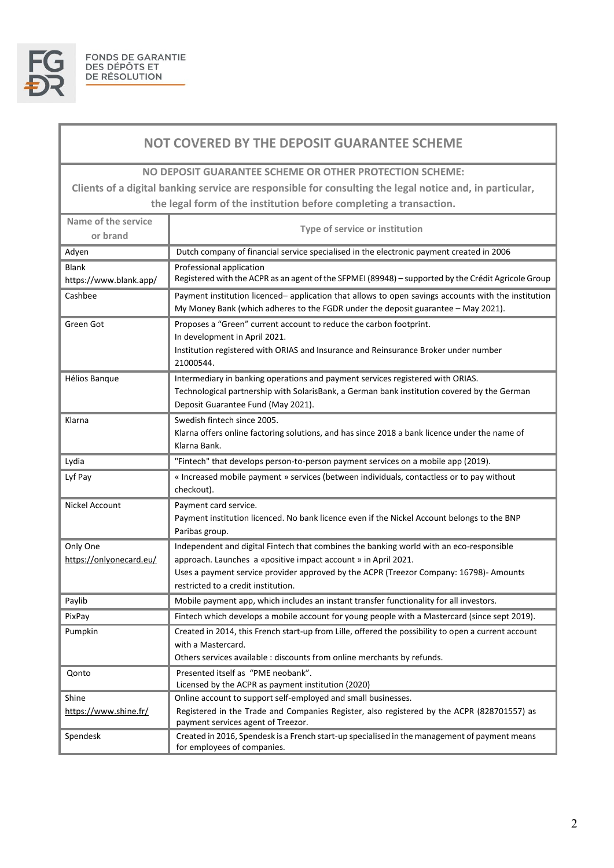

## **NOT COVERED BY THE DEPOSIT GUARANTEE SCHEME**

**NO DEPOSIT GUARANTEE SCHEME OR OTHER PROTECTION SCHEME:**

**Clients of a digital banking service are responsible for consulting the legal notice and, in particular, the legal form of the institution before completing a transaction.**

| Name of the service<br>or brand        | Type of service or institution                                                                                                                                                                                                                      |  |
|----------------------------------------|-----------------------------------------------------------------------------------------------------------------------------------------------------------------------------------------------------------------------------------------------------|--|
| Adyen                                  | Dutch company of financial service specialised in the electronic payment created in 2006                                                                                                                                                            |  |
| <b>Blank</b><br>https://www.blank.app/ | Professional application<br>Registered with the ACPR as an agent of the SFPMEI (89948) - supported by the Crédit Agricole Group                                                                                                                     |  |
| Cashbee                                | Payment institution licenced- application that allows to open savings accounts with the institution<br>My Money Bank (which adheres to the FGDR under the deposit guarantee - May 2021).                                                            |  |
| Green Got                              | Proposes a "Green" current account to reduce the carbon footprint.<br>In development in April 2021.<br>Institution registered with ORIAS and Insurance and Reinsurance Broker under number<br>21000544.                                             |  |
| Hélios Banque                          | Intermediary in banking operations and payment services registered with ORIAS.<br>Technological partnership with SolarisBank, a German bank institution covered by the German<br>Deposit Guarantee Fund (May 2021).                                 |  |
| Klarna                                 | Swedish fintech since 2005.<br>Klarna offers online factoring solutions, and has since 2018 a bank licence under the name of<br>Klarna Bank.                                                                                                        |  |
| Lydia                                  | "Fintech" that develops person-to-person payment services on a mobile app (2019).                                                                                                                                                                   |  |
| Lyf Pay                                | « Increased mobile payment » services (between individuals, contactless or to pay without<br>checkout).                                                                                                                                             |  |
| Nickel Account                         | Payment card service.<br>Payment institution licenced. No bank licence even if the Nickel Account belongs to the BNP<br>Paribas group.                                                                                                              |  |
| Only One<br>https://onlyonecard.eu/    | Independent and digital Fintech that combines the banking world with an eco-responsible<br>approach. Launches a «positive impact account » in April 2021.<br>Uses a payment service provider approved by the ACPR (Treezor Company: 16798)- Amounts |  |
|                                        | restricted to a credit institution.                                                                                                                                                                                                                 |  |
| Paylib                                 | Mobile payment app, which includes an instant transfer functionality for all investors.                                                                                                                                                             |  |
| PixPay                                 | Fintech which develops a mobile account for young people with a Mastercard (since sept 2019).                                                                                                                                                       |  |
| Pumpkin                                | Created in 2014, this French start-up from Lille, offered the possibility to open a current account<br>with a Mastercard.<br>Others services available : discounts from online merchants by refunds.                                                |  |
| Qonto                                  | Presented itself as "PME neobank".<br>Licensed by the ACPR as payment institution (2020)                                                                                                                                                            |  |
| Shine<br>https://www.shine.fr/         | Online account to support self-employed and small businesses.<br>Registered in the Trade and Companies Register, also registered by the ACPR (828701557) as<br>payment services agent of Treezor.                                                   |  |
| Spendesk                               | Created in 2016, Spendesk is a French start-up specialised in the management of payment means<br>for employees of companies.                                                                                                                        |  |